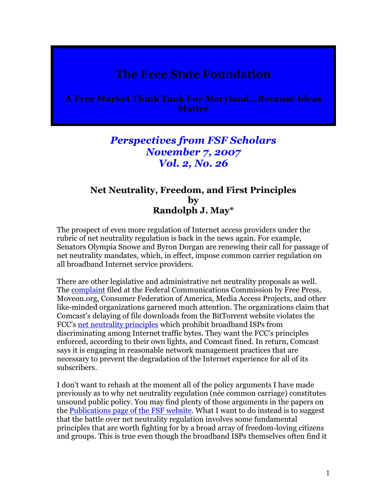## The Free State Foundation

A Free Market Think Tank For Maryland…Because Ideas **Matter** 

## Perspectives from FSF Scholars November 7, 2007 Vol. 2, No. 26

## Net Neutrality, Freedom, and First Principles by Randolph J. May\*

The prospect of even more regulation of Internet access providers under the rubric of net neutrality regulation is back in the news again. For example, Senators Olympia Snowe and Byron Dorgan are renewing their call for passage of net neutrality mandates, which, in effect, impose common carrier regulation on all broadband Internet service providers.

There are other legislative and administrative net neutrality proposals as well. The complaint filed at the Federal Communications Commission by Free Press, Moveon.org, Consumer Federation of America, Media Access Projects, and other like-minded organizations garnered much attention. The organizations claim that Comcast's delaying of file downloads from the BitTorrent website violates the FCC's net neutrality principles which prohibit broadband ISPs from discriminating among Internet traffic bytes. They want the FCC's principles enforced, according to their own lights, and Comcast fined. In return, Comcast says it is engaging in reasonable network management practices that are necessary to prevent the degradation of the Internet experience for all of its subscribers.

I don't want to rehash at the moment all of the policy arguments I have made previously as to why net neutrality regulation (née common carriage) constitutes unsound public policy. You may find plenty of those arguments in the papers on the Publications page of the FSF website. What I want to do instead is to suggest that the battle over net neutrality regulation involves some fundamental principles that are worth fighting for by a broad array of freedom-loving citizens and groups. This is true even though the broadband ISPs themselves often find it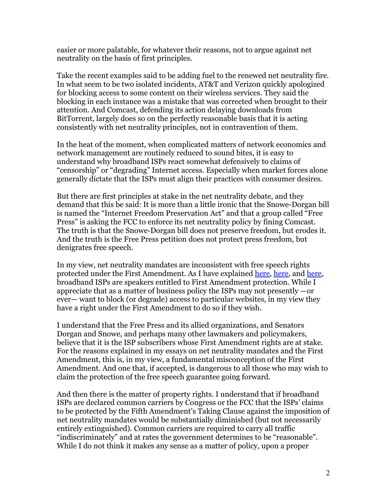easier or more palatable, for whatever their reasons, not to argue against net neutrality on the basis of first principles.

Take the recent examples said to be adding fuel to the renewed net neutrality fire. In what seem to be two isolated incidents, AT&T and Verizon quickly apologized for blocking access to some content on their wireless services. They said the blocking in each instance was a mistake that was corrected when brought to their attention. And Comcast, defending its action delaying downloads from BitTorrent, largely does so on the perfectly reasonable basis that it is acting consistently with net neutrality principles, not in contravention of them.

In the heat of the moment, when complicated matters of network economics and network management are routinely reduced to sound bites, it is easy to understand why broadband ISPs react somewhat defensively to claims of "censorship" or "degrading" Internet access. Especially when market forces alone generally dictate that the ISPs must align their practices with consumer desires.

But there are first principles at stake in the net neutrality debate, and they demand that this be said: It is more than a little ironic that the Snowe-Dorgan bill is named the "Internet Freedom Preservation Act" and that a group called "Free Press" is asking the FCC to enforce its net neutrality policy by fining Comcast. The truth is that the Snowe-Dorgan bill does not preserve freedom, but erodes it. And the truth is the Free Press petition does not protect press freedom, but denigrates free speech.

In my view, net neutrality mandates are inconsistent with free speech rights protected under the First Amendment. As I have explained here, here, and here, broadband ISPs are speakers entitled to First Amendment protection. While I appreciate that as a matter of business policy the ISPs may not presently —or ever— want to block (or degrade) access to particular websites, in my view they have a right under the First Amendment to do so if they wish.

I understand that the Free Press and its allied organizations, and Senators Dorgan and Snowe, and perhaps many other lawmakers and policymakers, believe that it is the ISP subscribers whose First Amendment rights are at stake. For the reasons explained in my essays on net neutrality mandates and the First Amendment, this is, in my view, a fundamental misconception of the First Amendment. And one that, if accepted, is dangerous to all those who may wish to claim the protection of the free speech guarantee going forward.

And then there is the matter of property rights. I understand that if broadband ISPs are declared common carriers by Congress or the FCC that the ISPs' claims to be protected by the Fifth Amendment's Taking Clause against the imposition of net neutrality mandates would be substantially diminished (but not necessarily entirely extinguished). Common carriers are required to carry all traffic "indiscriminately" and at rates the government determines to be "reasonable". While I do not think it makes any sense as a matter of policy, upon a proper